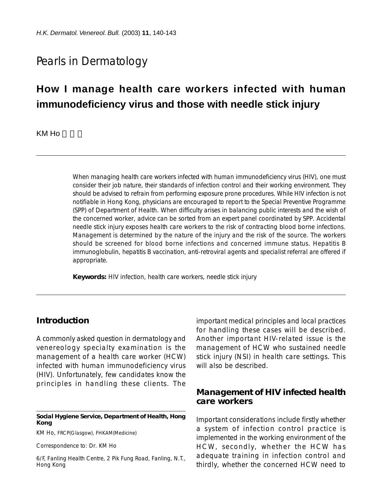## Pearls in Dermatology

# **How I manage health care workers infected with human immunodeficiency virus and those with needle stick injury**

KM Ho

When managing health care workers infected with human immunodeficiency virus (HIV), one must consider their job nature, their standards of infection control and their working environment. They should be advised to refrain from performing exposure prone procedures. While HIV infection is not notifiable in Hong Kong, physicians are encouraged to report to the Special Preventive Programme (SPP) of Department of Health. When difficulty arises in balancing public interests and the wish of the concerned worker, advice can be sorted from an expert panel coordinated by SPP. Accidental needle stick injury exposes health care workers to the risk of contracting blood borne infections. Management is determined by the nature of the injury and the risk of the source. The workers should be screened for blood borne infections and concerned immune status. Hepatitis B immunoglobulin, hepatitis B vaccination, anti-retroviral agents and specialist referral are offered if appropriate.

**Keywords:** HIV infection, health care workers, needle stick injury

## **Introduction**

A commonly asked question in dermatology and venereology specialty examination is the management of a health care worker (HCW) infected with human immunodeficiency virus (HIV). Unfortunately, few candidates know the principles in handling these clients. The

#### **Social Hygiene Service, Department of Health, Hong Kong**

KM Ho, FRCP(Glasgow), FHKAM(Medicine)

Correspondence to: Dr. KM Ho

6/F, Fanling Health Centre, 2 Pik Fung Road, Fanling, N.T., Hong Kong

important medical principles and local practices for handling these cases will be described. Another important HIV-related issue is the management of HCW who sustained needle stick injury (NSI) in health care settings. This will also be described.

### **Management of HIV infected health care workers**

Important considerations include firstly whether a system of infection control practice is implemented in the working environment of the HCW, secondly, whether the HCW has adequate training in infection control and thirdly, whether the concerned HCW need to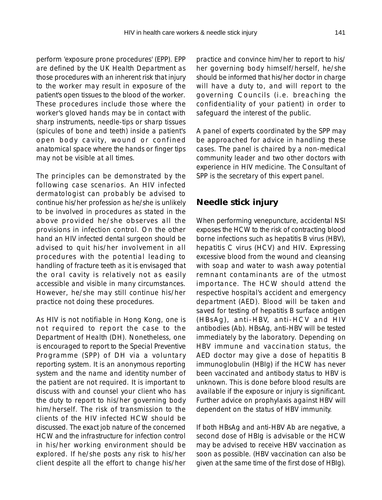perform 'exposure prone procedures' (EPP). EPP are defined by the UK Health Department as those procedures with an inherent risk that injury to the worker may result in exposure of the patient's open tissues to the blood of the worker. These procedures include those where the worker's gloved hands may be in contact with sharp instruments, needle-tips or sharp tissues (spicules of bone and teeth) inside a patient's open body cavity, wound or confined anatomical space where the hands or finger tips may not be visible at all times.

The principles can be demonstrated by the following case scenarios. An HIV infected dermatologist can probably be advised to continue his/her profession as he/she is unlikely to be involved in procedures as stated in the above provided he/she observes all the provisions in infection control. On the other hand an HIV infected dental surgeon should be advised to quit his/her involvement in all procedures with the potential leading to handling of fracture teeth as it is envisaged that the oral cavity is relatively not as easily accessible and visible in many circumstances. However, he/she may still continue his/her practice not doing these procedures.

As HIV is not notifiable in Hong Kong, one is not required to report the case to the Department of Health (DH). Nonetheless, one is encouraged to report to the Special Preventive Programme (SPP) of DH via a voluntary reporting system. It is an anonymous reporting system and the name and identity number of the patient are not required. It is important to discuss with and counsel your client who has the duty to report to his/her governing body him/herself. The risk of transmission to the clients of the HIV infected HCW should be discussed. The exact job nature of the concerned HCW and the infrastructure for infection control in his/her working environment should be explored. If he/she posts any risk to his/her client despite all the effort to change his/her

practice and convince him/her to report to his/ her governing body himself/herself, he/she should be informed that his/her doctor in charge will have a duty to, and will report to the governing Councils (i.e. breaching the confidentiality of your patient) in order to safeguard the interest of the public.

A panel of experts coordinated by the SPP may be approached for advice in handling these cases. The panel is chaired by a non-medical community leader and two other doctors with experience in HIV medicine. The Consultant of SPP is the secretary of this expert panel.

## **Needle stick injury**

When performing venepuncture, accidental NSI exposes the HCW to the risk of contracting blood borne infections such as hepatitis B virus (HBV), hepatitis C virus (HCV) and HIV. Expressing excessive blood from the wound and cleansing with soap and water to wash away potential remnant contaminants are of the utmost importance. The HCW should attend the respective hospital's accident and emergency department (AED). Blood will be taken and saved for testing of hepatitis B surface antigen (HBsAg), anti-HBV, anti-HCV and HIV antibodies (Ab). HBsAg, anti-HBV will be tested immediately by the laboratory. Depending on HBV immune and vaccination status, the AED doctor may give a dose of hepatitis B immunoglobulin (HBIg) if the HCW has never been vaccinated and antibody status to HBV is unknown. This is done before blood results are available if the exposure or injury is significant. Further advice on prophylaxis against HBV will dependent on the status of HBV immunity.

If both HBsAg and anti-HBV Ab are negative, a second dose of HBIg is advisable or the HCW may be advised to receive HBV vaccination as soon as possible. (HBV vaccination can also be given at the same time of the first dose of HBIg).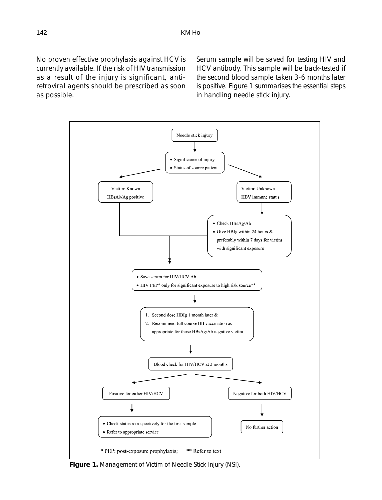No proven effective prophylaxis against HCV is currently available. If the risk of HIV transmission as a result of the injury is significant, antiretroviral agents should be prescribed as soon as possible.

Serum sample will be saved for testing HIV and HCV antibody. This sample will be back-tested if the second blood sample taken 3-6 months later is positive. Figure 1 summarises the essential steps in handling needle stick injury.



**Figure 1.** Management of Victim of Needle Stick Injury (NSI).